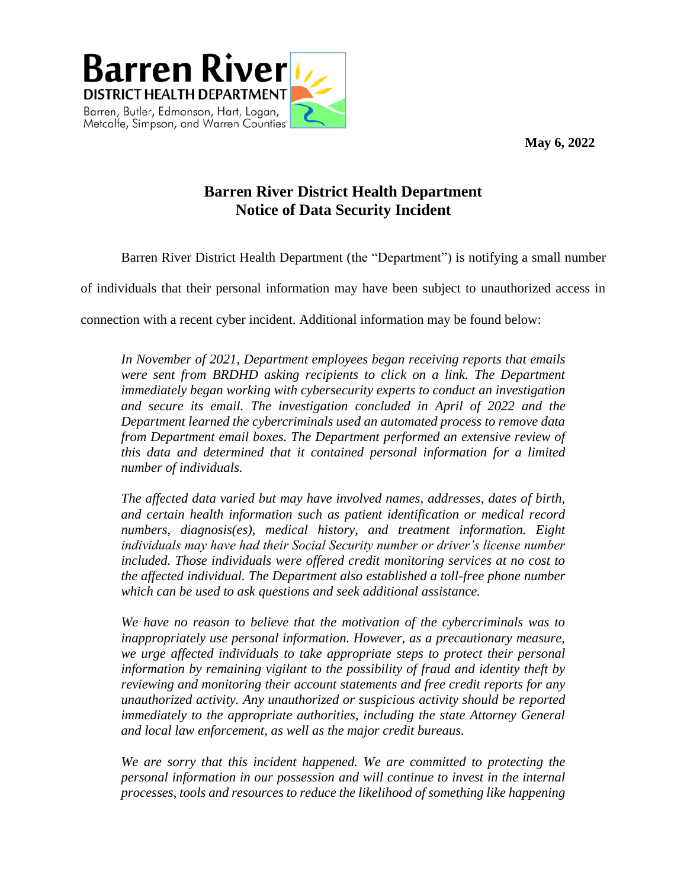**May 6, 2022**



## **Barren River District Health Department Notice of Data Security Incident**

Barren River District Health Department (the "Department") is notifying a small number

of individuals that their personal information may have been subject to unauthorized access in

connection with a recent cyber incident. Additional information may be found below:

*In November of 2021, Department employees began receiving reports that emails were sent from BRDHD asking recipients to click on a link. The Department immediately began working with cybersecurity experts to conduct an investigation and secure its email. The investigation concluded in April of 2022 and the Department learned the cybercriminals used an automated process to remove data from Department email boxes. The Department performed an extensive review of this data and determined that it contained personal information for a limited number of individuals.* 

*The affected data varied but may have involved names, addresses, dates of birth, and certain health information such as patient identification or medical record numbers, diagnosis(es), medical history, and treatment information. Eight individuals may have had their Social Security number or driver's license number included. Those individuals were offered credit monitoring services at no cost to the affected individual. The Department also established a toll-free phone number which can be used to ask questions and seek additional assistance.*

*We have no reason to believe that the motivation of the cybercriminals was to inappropriately use personal information. However, as a precautionary measure, we urge affected individuals to take appropriate steps to protect their personal information by remaining vigilant to the possibility of fraud and identity theft by reviewing and monitoring their account statements and free credit reports for any unauthorized activity. Any unauthorized or suspicious activity should be reported immediately to the appropriate authorities, including the state Attorney General and local law enforcement, as well as the major credit bureaus.* 

*We are sorry that this incident happened. We are committed to protecting the personal information in our possession and will continue to invest in the internal processes, tools and resources to reduce the likelihood of something like happening*